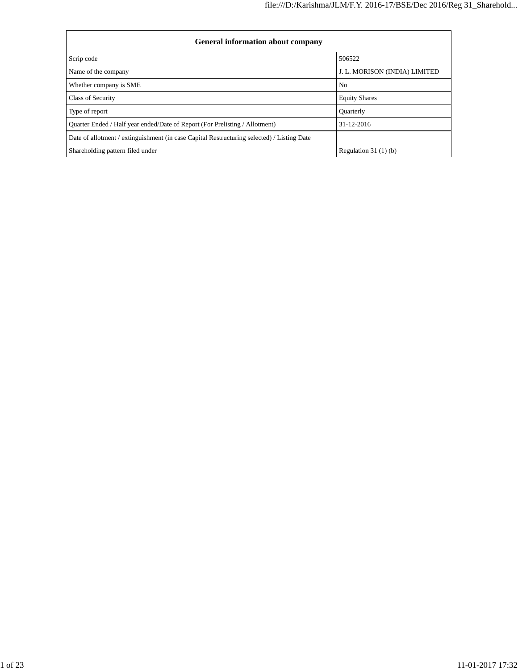| <b>General information about company</b>                                                   |                               |  |  |  |  |  |  |  |
|--------------------------------------------------------------------------------------------|-------------------------------|--|--|--|--|--|--|--|
| Scrip code                                                                                 | 506522                        |  |  |  |  |  |  |  |
| Name of the company                                                                        | J. L. MORISON (INDIA) LIMITED |  |  |  |  |  |  |  |
| Whether company is SME                                                                     | N <sub>0</sub>                |  |  |  |  |  |  |  |
| Class of Security                                                                          | <b>Equity Shares</b>          |  |  |  |  |  |  |  |
| Type of report                                                                             | <b>Ouarterly</b>              |  |  |  |  |  |  |  |
| Quarter Ended / Half year ended/Date of Report (For Prelisting / Allotment)                | $31 - 12 - 2016$              |  |  |  |  |  |  |  |
| Date of allotment / extinguishment (in case Capital Restructuring selected) / Listing Date |                               |  |  |  |  |  |  |  |
| Shareholding pattern filed under                                                           | Regulation $31(1)(b)$         |  |  |  |  |  |  |  |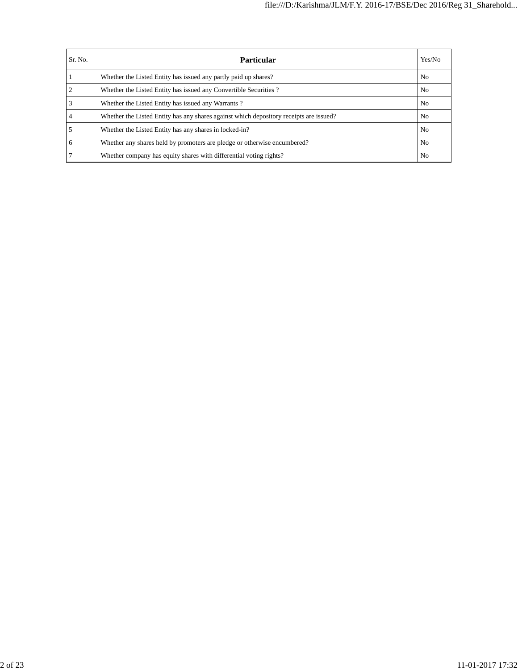| Sr. No. | Particular                                                                             | Yes/No         |
|---------|----------------------------------------------------------------------------------------|----------------|
|         | Whether the Listed Entity has issued any partly paid up shares?                        | No.            |
|         | Whether the Listed Entity has issued any Convertible Securities?                       | N <sub>0</sub> |
|         | Whether the Listed Entity has issued any Warrants?                                     | No.            |
|         | Whether the Listed Entity has any shares against which depository receipts are issued? | N <sub>0</sub> |
|         | Whether the Listed Entity has any shares in locked-in?                                 | N <sub>0</sub> |
| 6       | Whether any shares held by promoters are pledge or otherwise encumbered?               | N <sub>0</sub> |
|         | Whether company has equity shares with differential voting rights?                     | N <sub>0</sub> |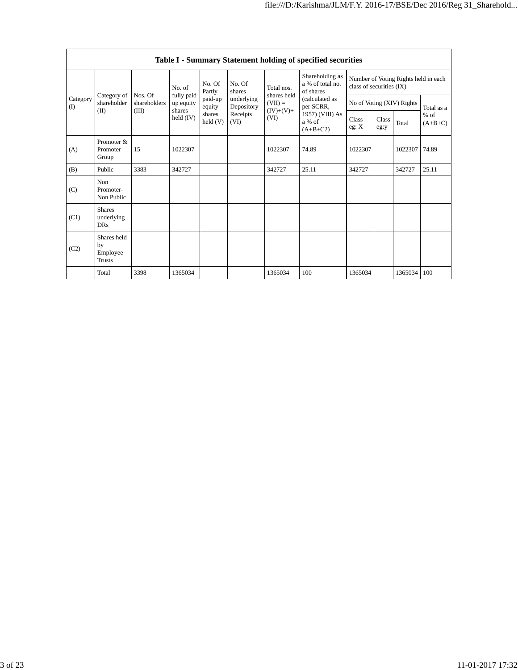|               | Table I - Summary Statement holding of specified securities |                         |                         |                            |                          |                          |                                                  |                                                                  |               |                           |                     |  |
|---------------|-------------------------------------------------------------|-------------------------|-------------------------|----------------------------|--------------------------|--------------------------|--------------------------------------------------|------------------------------------------------------------------|---------------|---------------------------|---------------------|--|
| Category<br>( |                                                             |                         | No. of                  | No. Of<br>Partly           | No. Of<br>shares         | Total nos.               | Shareholding as<br>a % of total no.<br>of shares | Number of Voting Rights held in each<br>class of securities (IX) |               |                           |                     |  |
|               | Category of<br>shareholder                                  | Nos. Of<br>shareholders | fully paid<br>up equity | paid-up<br>equity          | underlying<br>Depository | shares held<br>$(VII) =$ | (calculated as<br>per SCRR,                      |                                                                  |               | No of Voting (XIV) Rights | Total as a          |  |
|               | (II)                                                        | (III)                   | shares<br>held $(IV)$   | shares<br>$\text{held}(V)$ | Receipts<br>(VI)         | $(IV)+(V)+$<br>(VI)      | 1957) (VIII) As<br>a % of<br>$(A+B+C2)$          | Class<br>eg: X                                                   | Class<br>eg:y | Total                     | $%$ of<br>$(A+B+C)$ |  |
| (A)           | Promoter &<br>Promoter<br>Group                             | 15                      | 1022307                 |                            |                          | 1022307                  | 74.89                                            | 1022307                                                          |               | 1022307 74.89             |                     |  |
| (B)           | Public                                                      | 3383                    | 342727                  |                            |                          | 342727                   | 25.11                                            | 342727                                                           |               | 342727                    | 25.11               |  |
| (C)           | Non<br>Promoter-<br>Non Public                              |                         |                         |                            |                          |                          |                                                  |                                                                  |               |                           |                     |  |
| (C1)          | <b>Shares</b><br>underlying<br><b>DRs</b>                   |                         |                         |                            |                          |                          |                                                  |                                                                  |               |                           |                     |  |
| (C2)          | Shares held<br>by<br>Employee<br><b>Trusts</b>              |                         |                         |                            |                          |                          |                                                  |                                                                  |               |                           |                     |  |
|               | Total                                                       | 3398                    | 1365034                 |                            |                          | 1365034                  | 100                                              | 1365034                                                          |               | 1365034 100               |                     |  |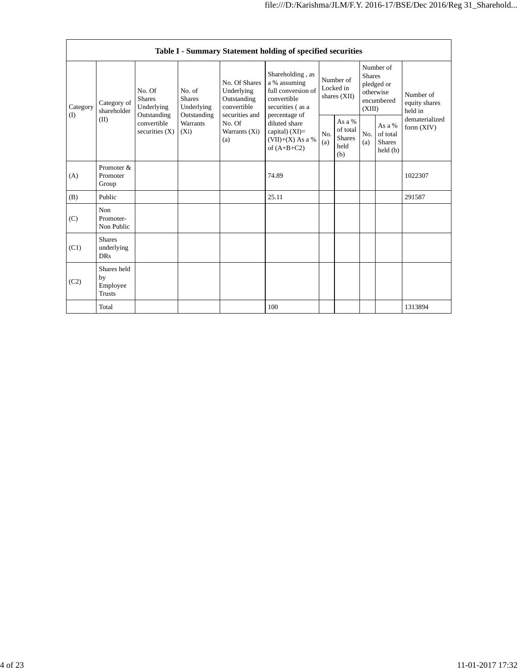|                          | Table I - Summary Statement holding of specified securities |                                                                                                                                              |            |                                                                                                               |                                                                                                            |                                        |                                                    |                                                                               |                                                |                                       |  |  |
|--------------------------|-------------------------------------------------------------|----------------------------------------------------------------------------------------------------------------------------------------------|------------|---------------------------------------------------------------------------------------------------------------|------------------------------------------------------------------------------------------------------------|----------------------------------------|----------------------------------------------------|-------------------------------------------------------------------------------|------------------------------------------------|---------------------------------------|--|--|
| Category<br>$($ $\Gamma$ | Category of<br>shareholder<br>(II)                          | No. Of<br>No. of<br><b>Shares</b><br><b>Shares</b><br>Underlying<br>Outstanding<br>Outstanding<br>convertible<br>securities $(X)$<br>$(X_i)$ | Underlying | No. Of Shares<br>Underlying<br>Outstanding<br>convertible<br>securities and<br>No. Of<br>Warrants (Xi)<br>(a) | Shareholding, as<br>a % assuming<br>full conversion of<br>convertible<br>securities (as a<br>percentage of | Number of<br>Locked in<br>shares (XII) |                                                    | Number of<br><b>Shares</b><br>pledged or<br>otherwise<br>encumbered<br>(XIII) |                                                | Number of<br>equity shares<br>held in |  |  |
|                          |                                                             |                                                                                                                                              | Warrants   |                                                                                                               | diluted share<br>capital) $(XI)=$<br>$(VII)+(X)$ As a %<br>of $(A+B+C2)$                                   | N <sub>O</sub><br>(a)                  | As a %<br>of total<br><b>Shares</b><br>held<br>(b) | No.<br>(a)                                                                    | As a %<br>of total<br><b>Shares</b><br>held(b) | dematerialized<br>form $(XIV)$        |  |  |
| (A)                      | Promoter &<br>Promoter<br>Group                             |                                                                                                                                              |            |                                                                                                               | 74.89                                                                                                      |                                        |                                                    |                                                                               |                                                | 1022307                               |  |  |
| (B)                      | Public                                                      |                                                                                                                                              |            |                                                                                                               | 25.11                                                                                                      |                                        |                                                    |                                                                               |                                                | 291587                                |  |  |
| (C)                      | Non<br>Promoter-<br>Non Public                              |                                                                                                                                              |            |                                                                                                               |                                                                                                            |                                        |                                                    |                                                                               |                                                |                                       |  |  |
| (C1)                     | <b>Shares</b><br>underlying<br><b>DRs</b>                   |                                                                                                                                              |            |                                                                                                               |                                                                                                            |                                        |                                                    |                                                                               |                                                |                                       |  |  |
| (C2)                     | Shares held<br>by<br>Employee<br><b>Trusts</b>              |                                                                                                                                              |            |                                                                                                               |                                                                                                            |                                        |                                                    |                                                                               |                                                |                                       |  |  |
|                          | Total                                                       |                                                                                                                                              |            |                                                                                                               | 100                                                                                                        |                                        |                                                    |                                                                               |                                                | 1313894                               |  |  |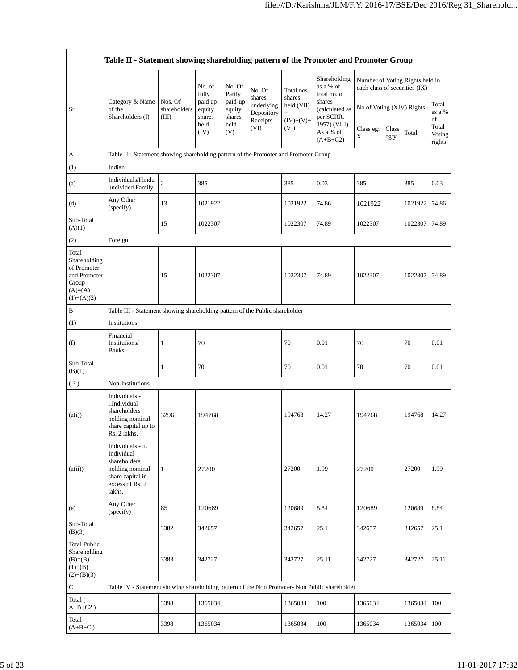|                                                                                            | Table II - Statement showing shareholding pattern of the Promoter and Promoter Group                                |                                  |                             |                             |                                              |                        |                                                                                  |                                                                  |               |               |                           |  |
|--------------------------------------------------------------------------------------------|---------------------------------------------------------------------------------------------------------------------|----------------------------------|-----------------------------|-----------------------------|----------------------------------------------|------------------------|----------------------------------------------------------------------------------|------------------------------------------------------------------|---------------|---------------|---------------------------|--|
|                                                                                            |                                                                                                                     |                                  | No. of<br>fully             | No. Of<br>Partly            | No. Of<br>shares                             | Total nos.<br>shares   | Shareholding<br>as a % of<br>total no. of                                        | Number of Voting Rights held in<br>each class of securities (IX) |               |               |                           |  |
| Sr.                                                                                        | Category & Name<br>of the<br>Shareholders (I)                                                                       | Nos. Of<br>shareholders<br>(III) | paid up<br>equity<br>shares | paid-up<br>equity<br>shares | underlying<br>Depository<br>Receipts<br>(VI) | held (VII)<br>$\equiv$ | shares<br>(calculated as<br>per SCRR,<br>1957) (VIII)<br>As a % of<br>$(A+B+C2)$ | No of Voting (XIV) Rights                                        |               |               | Total<br>as a %<br>of     |  |
|                                                                                            |                                                                                                                     |                                  | held<br>(IV)                | held<br>(V)                 |                                              | $(IV)+(V)+$<br>(VI)    |                                                                                  | Class eg:<br>X                                                   | Class<br>eg:y | Total         | Total<br>Voting<br>rights |  |
| A                                                                                          | Table II - Statement showing shareholding pattern of the Promoter and Promoter Group                                |                                  |                             |                             |                                              |                        |                                                                                  |                                                                  |               |               |                           |  |
| (1)                                                                                        | Indian                                                                                                              |                                  |                             |                             |                                              |                        |                                                                                  |                                                                  |               |               |                           |  |
| (a)                                                                                        | Individuals/Hindu<br>undivided Family                                                                               | $\sqrt{2}$                       | 385                         |                             |                                              | 385                    | 0.03                                                                             | 385                                                              |               | 385           | 0.03                      |  |
| (d)                                                                                        | Any Other<br>(specify)                                                                                              | 13                               | 1021922                     |                             |                                              | 1021922                | 74.86                                                                            | 1021922                                                          |               | 1021922       | 74.86                     |  |
| Sub-Total<br>(A)(1)                                                                        |                                                                                                                     | 15                               | 1022307                     |                             |                                              | 1022307                | 74.89                                                                            | 1022307                                                          |               | 1022307       | 74.89                     |  |
| (2)                                                                                        | Foreign                                                                                                             |                                  |                             |                             |                                              |                        |                                                                                  |                                                                  |               |               |                           |  |
| Total<br>Shareholding<br>of Promoter<br>and Promoter<br>Group<br>$(A)=(A)$<br>$(1)+(A)(2)$ |                                                                                                                     | 15                               | 1022307                     |                             |                                              | 1022307                | 74.89                                                                            | 1022307                                                          |               | 1022307 74.89 |                           |  |
| B                                                                                          | Table III - Statement showing shareholding pattern of the Public shareholder                                        |                                  |                             |                             |                                              |                        |                                                                                  |                                                                  |               |               |                           |  |
| (1)                                                                                        | Institutions                                                                                                        |                                  |                             |                             |                                              |                        |                                                                                  |                                                                  |               |               |                           |  |
| (f)                                                                                        | Financial<br>Institutions/<br><b>Banks</b>                                                                          | 1                                | 70                          |                             |                                              | 70                     | 0.01                                                                             | 70                                                               |               | 70            | 0.01                      |  |
| Sub-Total<br>(B)(1)                                                                        |                                                                                                                     | 1                                | 70                          |                             |                                              | 70                     | 0.01                                                                             | 70                                                               |               | 70            | 0.01                      |  |
| (3)                                                                                        | Non-institutions                                                                                                    |                                  |                             |                             |                                              |                        |                                                                                  |                                                                  |               |               |                           |  |
| (a(i))                                                                                     | Individuals -<br>i.Individual<br>shareholders<br>holding nominal<br>share capital up to<br>Rs. 2 lakhs.             | 3296                             | 194768                      |                             |                                              | 194768                 | 14.27                                                                            | 194768                                                           |               | 194768        | 14.27                     |  |
| (a(ii))                                                                                    | Individuals - ii.<br>Individual<br>shareholders<br>holding nominal<br>share capital in<br>excess of Rs. 2<br>lakhs. | $\mathbf{1}$                     | 27200                       |                             |                                              | 27200                  | 1.99                                                                             | 27200                                                            |               | 27200         | 1.99                      |  |
| (e)                                                                                        | Any Other<br>(specify)                                                                                              | 85                               | 120689                      |                             |                                              | 120689                 | 8.84                                                                             | 120689                                                           |               | 120689        | 8.84                      |  |
| Sub-Total<br>(B)(3)                                                                        |                                                                                                                     | 3382                             | 342657                      |                             |                                              | 342657                 | 25.1                                                                             | 342657                                                           |               | 342657        | 25.1                      |  |
| <b>Total Public</b><br>Shareholding<br>$(B)= (B)$<br>$(1)+(B)$<br>$(2)+(B)(3)$             |                                                                                                                     | 3383                             | 342727                      |                             |                                              | 342727                 | 25.11                                                                            | 342727                                                           |               | 342727        | 25.11                     |  |
| C                                                                                          | Table IV - Statement showing shareholding pattern of the Non Promoter- Non Public shareholder                       |                                  |                             |                             |                                              |                        |                                                                                  |                                                                  |               |               |                           |  |
| Total (<br>$A+B+C2$ )                                                                      |                                                                                                                     | 3398                             | 1365034                     |                             |                                              | 1365034                | 100                                                                              | 1365034                                                          |               | 1365034       | 100                       |  |
| Total<br>$(A+B+C)$                                                                         |                                                                                                                     | 3398                             | 1365034                     |                             |                                              | 1365034                | 100                                                                              | 1365034                                                          |               | 1365034 100   |                           |  |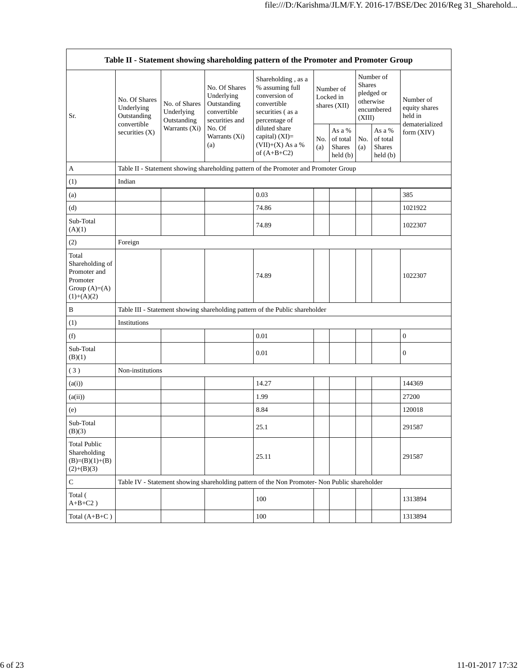$\overline{\phantom{a}}$ 

|                                                                                          |                                            |                                                 |                                                                             | Table II - Statement showing shareholding pattern of the Promoter and Promoter Group                       |                                        |                                                                |                                                                               |                                                |                                       |  |  |
|------------------------------------------------------------------------------------------|--------------------------------------------|-------------------------------------------------|-----------------------------------------------------------------------------|------------------------------------------------------------------------------------------------------------|----------------------------------------|----------------------------------------------------------------|-------------------------------------------------------------------------------|------------------------------------------------|---------------------------------------|--|--|
| Sr.                                                                                      | No. Of Shares<br>Underlying<br>Outstanding | No. of Shares<br>Underlying<br>Outstanding      | No. Of Shares<br>Underlying<br>Outstanding<br>convertible<br>securities and | Shareholding, as a<br>% assuming full<br>conversion of<br>convertible<br>securities (as a<br>percentage of | Number of<br>Locked in<br>shares (XII) |                                                                | Number of<br><b>Shares</b><br>pledged or<br>otherwise<br>encumbered<br>(XIII) |                                                | Number of<br>equity shares<br>held in |  |  |
|                                                                                          | convertible<br>securities $(X)$            | Warrants (Xi)<br>No. Of<br>Warrants (Xi)<br>(a) |                                                                             | diluted share<br>capital) (XI)=<br>$(VII)+(X)$ As a %<br>of $(A+B+C2)$                                     |                                        | As a %<br>of total<br><b>Shares</b><br>$\text{held}(\text{b})$ | No.<br>(a)                                                                    | As a %<br>of total<br><b>Shares</b><br>held(b) | dematerialized<br>form $(XIV)$        |  |  |
| $\mathbf{A}$                                                                             |                                            |                                                 |                                                                             | Table II - Statement showing shareholding pattern of the Promoter and Promoter Group                       |                                        |                                                                |                                                                               |                                                |                                       |  |  |
| (1)                                                                                      | Indian                                     |                                                 |                                                                             |                                                                                                            |                                        |                                                                |                                                                               |                                                |                                       |  |  |
| (a)                                                                                      |                                            |                                                 |                                                                             | 0.03                                                                                                       |                                        |                                                                |                                                                               |                                                | 385                                   |  |  |
| (d)                                                                                      |                                            |                                                 |                                                                             | 74.86                                                                                                      |                                        |                                                                |                                                                               |                                                | 1021922                               |  |  |
| Sub-Total<br>(A)(1)                                                                      |                                            |                                                 |                                                                             | 74.89                                                                                                      |                                        |                                                                |                                                                               |                                                | 1022307                               |  |  |
| (2)                                                                                      | Foreign                                    |                                                 |                                                                             |                                                                                                            |                                        |                                                                |                                                                               |                                                |                                       |  |  |
| Total<br>Shareholding of<br>Promoter and<br>Promoter<br>Group $(A)= (A)$<br>$(1)+(A)(2)$ |                                            |                                                 |                                                                             | 74.89                                                                                                      |                                        |                                                                |                                                                               |                                                | 1022307                               |  |  |
| $\, {\bf B}$                                                                             |                                            |                                                 |                                                                             | Table III - Statement showing shareholding pattern of the Public shareholder                               |                                        |                                                                |                                                                               |                                                |                                       |  |  |
| (1)                                                                                      | Institutions                               |                                                 |                                                                             |                                                                                                            |                                        |                                                                |                                                                               |                                                |                                       |  |  |
| (f)                                                                                      |                                            |                                                 |                                                                             | 0.01                                                                                                       |                                        |                                                                |                                                                               |                                                | $\boldsymbol{0}$                      |  |  |
| Sub-Total<br>(B)(1)                                                                      |                                            |                                                 |                                                                             | 0.01                                                                                                       |                                        |                                                                |                                                                               |                                                | $\boldsymbol{0}$                      |  |  |
| (3)                                                                                      | Non-institutions                           |                                                 |                                                                             |                                                                                                            |                                        |                                                                |                                                                               |                                                |                                       |  |  |
| (a(i))                                                                                   |                                            |                                                 |                                                                             | 14.27                                                                                                      |                                        |                                                                |                                                                               |                                                | 144369                                |  |  |
| (a(ii))                                                                                  |                                            |                                                 |                                                                             | 1.99                                                                                                       |                                        |                                                                |                                                                               |                                                | 27200                                 |  |  |
| (e)                                                                                      |                                            |                                                 |                                                                             | 8.84                                                                                                       |                                        |                                                                |                                                                               |                                                | 120018                                |  |  |
| Sub-Total<br>(B)(3)                                                                      |                                            |                                                 |                                                                             | 25.1                                                                                                       |                                        |                                                                |                                                                               |                                                | 291587                                |  |  |
| <b>Total Public</b><br>Shareholding<br>$(B)=(B)(1)+(B)$<br>$(2)+(B)(3)$                  |                                            |                                                 |                                                                             | 25.11                                                                                                      |                                        |                                                                |                                                                               |                                                | 291587                                |  |  |
| ${\bf C}$                                                                                |                                            |                                                 |                                                                             | Table IV - Statement showing shareholding pattern of the Non Promoter- Non Public shareholder              |                                        |                                                                |                                                                               |                                                |                                       |  |  |
| Total (<br>$A+B+C2$ )                                                                    |                                            |                                                 |                                                                             | 100                                                                                                        |                                        |                                                                |                                                                               |                                                | 1313894                               |  |  |
| Total $(A+B+C)$                                                                          |                                            |                                                 |                                                                             | $100\,$                                                                                                    |                                        |                                                                |                                                                               |                                                | 1313894                               |  |  |

Ē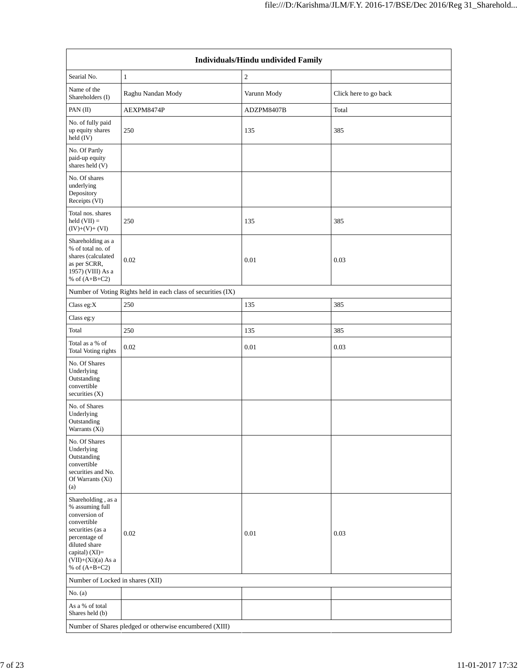|                                                                                                                                                                                          |                                                               | Individuals/Hindu undivided Family |                       |  |  |  |  |  |  |  |
|------------------------------------------------------------------------------------------------------------------------------------------------------------------------------------------|---------------------------------------------------------------|------------------------------------|-----------------------|--|--|--|--|--|--|--|
| Searial No.                                                                                                                                                                              | $\mathbf{1}$                                                  | $\overline{c}$                     |                       |  |  |  |  |  |  |  |
| Name of the<br>Shareholders (I)                                                                                                                                                          | Raghu Nandan Mody                                             | Varunn Mody                        | Click here to go back |  |  |  |  |  |  |  |
| PAN(II)                                                                                                                                                                                  | AEXPM8474P                                                    | ADZPM8407B                         | Total                 |  |  |  |  |  |  |  |
| No. of fully paid<br>up equity shares<br>held (IV)                                                                                                                                       | 250                                                           | 135                                | 385                   |  |  |  |  |  |  |  |
| No. Of Partly<br>paid-up equity<br>shares held (V)                                                                                                                                       |                                                               |                                    |                       |  |  |  |  |  |  |  |
| No. Of shares<br>underlying<br>Depository<br>Receipts (VI)                                                                                                                               |                                                               |                                    |                       |  |  |  |  |  |  |  |
| Total nos. shares<br>$held (VII) =$<br>$(IV)+(V)+(VI)$                                                                                                                                   | 250                                                           | 135                                | 385                   |  |  |  |  |  |  |  |
| Shareholding as a<br>% of total no. of<br>shares (calculated<br>as per SCRR,<br>1957) (VIII) As a<br>% of $(A+B+C2)$                                                                     | 0.02                                                          | 0.01                               | 0.03                  |  |  |  |  |  |  |  |
|                                                                                                                                                                                          | Number of Voting Rights held in each class of securities (IX) |                                    |                       |  |  |  |  |  |  |  |
| Class eg:X                                                                                                                                                                               | 250                                                           | 135                                | 385                   |  |  |  |  |  |  |  |
| Class eg:y                                                                                                                                                                               |                                                               |                                    |                       |  |  |  |  |  |  |  |
| Total                                                                                                                                                                                    | 250                                                           | 135                                | 385                   |  |  |  |  |  |  |  |
| Total as a % of<br><b>Total Voting rights</b>                                                                                                                                            | 0.02                                                          | $0.01\,$                           | 0.03                  |  |  |  |  |  |  |  |
| No. Of Shares<br>Underlying<br>Outstanding<br>convertible<br>securities $(X)$                                                                                                            |                                                               |                                    |                       |  |  |  |  |  |  |  |
| No. of Shares<br>Underlying<br>Outstanding<br>Warrants (Xi)                                                                                                                              |                                                               |                                    |                       |  |  |  |  |  |  |  |
| No. Of Shares<br>Underlying<br>Outstanding<br>convertible<br>securities and No.<br>Of Warrants (Xi)<br>(a)                                                                               |                                                               |                                    |                       |  |  |  |  |  |  |  |
| Shareholding, as a<br>% assuming full<br>conversion of<br>convertible<br>securities (as a<br>percentage of<br>diluted share<br>capital) (XI)=<br>$(VII)+(Xi)(a)$ As a<br>% of $(A+B+C2)$ | 0.02                                                          | 0.01                               | 0.03                  |  |  |  |  |  |  |  |
| Number of Locked in shares (XII)                                                                                                                                                         |                                                               |                                    |                       |  |  |  |  |  |  |  |
| No. $(a)$                                                                                                                                                                                |                                                               |                                    |                       |  |  |  |  |  |  |  |
| As a % of total<br>Shares held (b)                                                                                                                                                       |                                                               |                                    |                       |  |  |  |  |  |  |  |
|                                                                                                                                                                                          | Number of Shares pledged or otherwise encumbered (XIII)       |                                    |                       |  |  |  |  |  |  |  |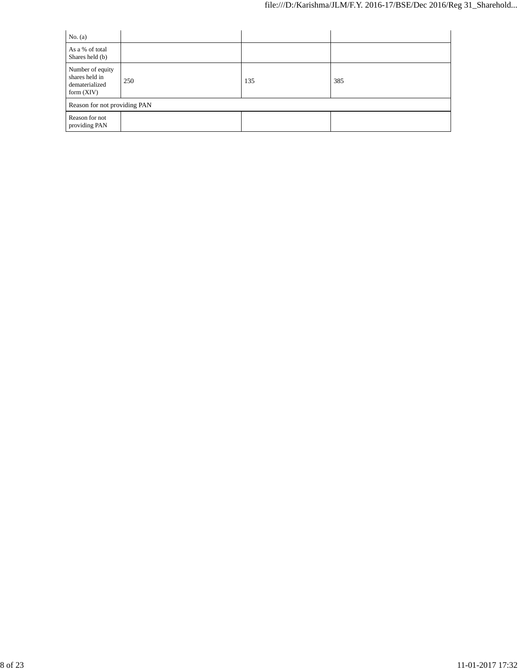| No. $(a)$                                                            |     |     |     |  |  |  |  |  |
|----------------------------------------------------------------------|-----|-----|-----|--|--|--|--|--|
| As a % of total<br>Shares held (b)                                   |     |     |     |  |  |  |  |  |
| Number of equity<br>shares held in<br>dematerialized<br>form $(XIV)$ | 250 | 135 | 385 |  |  |  |  |  |
| Reason for not providing PAN                                         |     |     |     |  |  |  |  |  |
| Reason for not<br>providing PAN                                      |     |     |     |  |  |  |  |  |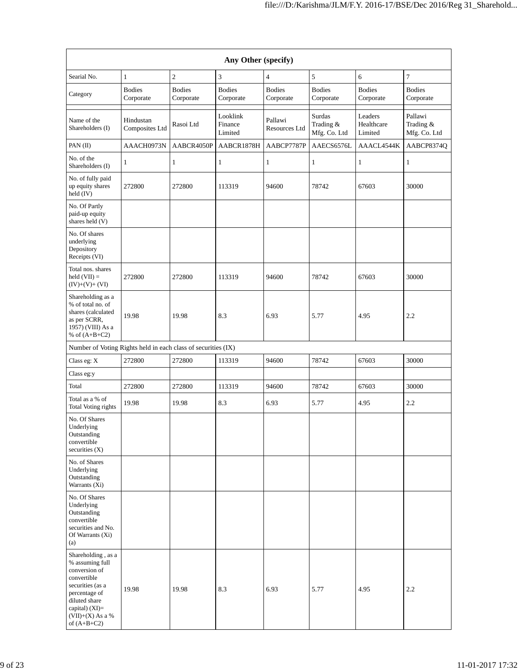| Any Other (specify)                                                                                                                                                                  |                             |                            |                                |                            |                                     |                                  |                                      |  |  |  |  |
|--------------------------------------------------------------------------------------------------------------------------------------------------------------------------------------|-----------------------------|----------------------------|--------------------------------|----------------------------|-------------------------------------|----------------------------------|--------------------------------------|--|--|--|--|
| Searial No.                                                                                                                                                                          | $\mathbf{1}$                | $\overline{c}$             | 3                              | $\overline{\mathbf{4}}$    | 5                                   | 6                                | $\tau$                               |  |  |  |  |
| Category                                                                                                                                                                             | <b>Bodies</b><br>Corporate  | <b>Bodies</b><br>Corporate | <b>Bodies</b><br>Corporate     | <b>Bodies</b><br>Corporate | <b>Bodies</b><br>Corporate          | <b>Bodies</b><br>Corporate       | <b>Bodies</b><br>Corporate           |  |  |  |  |
| Name of the<br>Shareholders (I)                                                                                                                                                      | Hindustan<br>Composites Ltd | Rasoi Ltd                  | Looklink<br>Finance<br>Limited | Pallawi<br>Resources Ltd   | Surdas<br>Trading &<br>Mfg. Co. Ltd | Leaders<br>Healthcare<br>Limited | Pallawi<br>Trading &<br>Mfg. Co. Ltd |  |  |  |  |
| PAN(II)                                                                                                                                                                              | AAACH0973N                  | AABCR4050P                 | AABCR1878H                     | AABCP7787P                 | AAECS6576L                          | AAACL4544K                       | AABCP8374O                           |  |  |  |  |
| No. of the<br>Shareholders (I)                                                                                                                                                       | 1                           | $\mathbf{1}$               | 1                              | $\mathbf{1}$               | $\mathbf{1}$                        | 1                                | 1                                    |  |  |  |  |
| No. of fully paid<br>up equity shares<br>held (IV)                                                                                                                                   | 272800                      | 272800                     | 113319                         | 94600                      | 78742                               | 67603                            | 30000                                |  |  |  |  |
| No. Of Partly<br>paid-up equity<br>shares held (V)                                                                                                                                   |                             |                            |                                |                            |                                     |                                  |                                      |  |  |  |  |
| No. Of shares<br>underlying<br>Depository<br>Receipts (VI)                                                                                                                           |                             |                            |                                |                            |                                     |                                  |                                      |  |  |  |  |
| Total nos. shares<br>held $(VII) =$<br>$(IV)+(V)+(VI)$                                                                                                                               | 272800                      | 272800                     | 113319                         | 94600                      | 78742                               | 67603                            | 30000                                |  |  |  |  |
| Shareholding as a<br>% of total no. of<br>shares (calculated<br>as per SCRR,<br>1957) (VIII) As a<br>% of $(A+B+C2)$                                                                 | 19.98                       | 19.98                      | 8.3                            | 6.93                       | 5.77                                | 4.95                             | 2.2                                  |  |  |  |  |
| Number of Voting Rights held in each class of securities (IX)                                                                                                                        |                             |                            |                                |                            |                                     |                                  |                                      |  |  |  |  |
| Class eg: X                                                                                                                                                                          | 272800                      | 272800                     | 113319                         | 94600                      | 78742                               | 67603                            | 30000                                |  |  |  |  |
| Class eg:y                                                                                                                                                                           |                             |                            |                                |                            |                                     |                                  |                                      |  |  |  |  |
| Total                                                                                                                                                                                | 272800                      | 272800                     | 113319                         | 94600                      | 78742                               | 67603                            | 30000                                |  |  |  |  |
| Total as a % of<br><b>Total Voting rights</b>                                                                                                                                        | 19.98                       | 19.98                      | 8.3                            | 6.93                       | 5.77                                | 4.95                             | 2.2                                  |  |  |  |  |
| No. Of Shares<br>Underlying<br>Outstanding<br>convertible<br>securities (X)                                                                                                          |                             |                            |                                |                            |                                     |                                  |                                      |  |  |  |  |
| No. of Shares<br>Underlying<br>Outstanding<br>Warrants (Xi)                                                                                                                          |                             |                            |                                |                            |                                     |                                  |                                      |  |  |  |  |
| No. Of Shares<br>Underlying<br>Outstanding<br>convertible<br>securities and No.<br>Of Warrants (Xi)<br>(a)                                                                           |                             |                            |                                |                            |                                     |                                  |                                      |  |  |  |  |
| Shareholding, as a<br>% assuming full<br>conversion of<br>convertible<br>securities (as a<br>percentage of<br>diluted share<br>capital) (XI)=<br>$(VII)+(X)$ As a %<br>of $(A+B+C2)$ | 19.98                       | 19.98                      | 8.3                            | 6.93                       | 5.77                                | 4.95                             | 2.2                                  |  |  |  |  |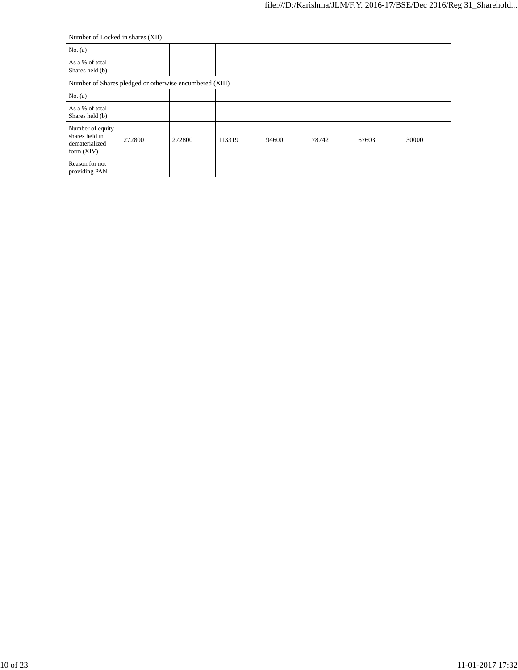|                                                                      | Number of Locked in shares (XII) |        |        |       |       |       |       |  |  |  |  |  |
|----------------------------------------------------------------------|----------------------------------|--------|--------|-------|-------|-------|-------|--|--|--|--|--|
| No. $(a)$                                                            |                                  |        |        |       |       |       |       |  |  |  |  |  |
| As a % of total<br>Shares held (b)                                   |                                  |        |        |       |       |       |       |  |  |  |  |  |
| Number of Shares pledged or otherwise encumbered (XIII)              |                                  |        |        |       |       |       |       |  |  |  |  |  |
| No. $(a)$                                                            |                                  |        |        |       |       |       |       |  |  |  |  |  |
| As a % of total<br>Shares held (b)                                   |                                  |        |        |       |       |       |       |  |  |  |  |  |
| Number of equity<br>shares held in<br>dematerialized<br>form $(XIV)$ | 272800                           | 272800 | 113319 | 94600 | 78742 | 67603 | 30000 |  |  |  |  |  |
| Reason for not<br>providing PAN                                      |                                  |        |        |       |       |       |       |  |  |  |  |  |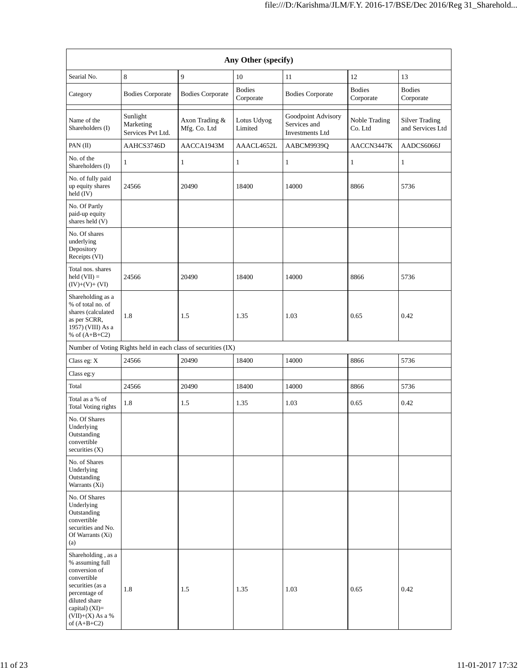| Any Other (specify)                                                                                                                                                                    |                                                               |                                |                            |                                                              |                            |                                           |  |  |  |  |  |
|----------------------------------------------------------------------------------------------------------------------------------------------------------------------------------------|---------------------------------------------------------------|--------------------------------|----------------------------|--------------------------------------------------------------|----------------------------|-------------------------------------------|--|--|--|--|--|
| Searial No.                                                                                                                                                                            | $\,8\,$                                                       | 9                              | 10                         | 11                                                           | 12                         | 13                                        |  |  |  |  |  |
| Category                                                                                                                                                                               | <b>Bodies Corporate</b>                                       | <b>Bodies Corporate</b>        | <b>Bodies</b><br>Corporate | <b>Bodies Corporate</b>                                      | <b>Bodies</b><br>Corporate | <b>Bodies</b><br>Corporate                |  |  |  |  |  |
| Name of the<br>Shareholders (I)                                                                                                                                                        | Sunlight<br>Marketing<br>Services Pvt Ltd.                    | Axon Trading &<br>Mfg. Co. Ltd | Lotus Udyog<br>Limited     | Goodpoint Advisory<br>Services and<br><b>Investments Ltd</b> | Noble Trading<br>Co. Ltd   | <b>Silver Trading</b><br>and Services Ltd |  |  |  |  |  |
| PAN(II)                                                                                                                                                                                | AAHCS3746D                                                    | AACCA1943M                     | AAACL4652L                 | AABCM9939Q                                                   | AACCN3447K                 | AADCS6066J                                |  |  |  |  |  |
| No. of the<br>Shareholders (I)                                                                                                                                                         | 1                                                             | $\mathbf{1}$                   | 1                          | $\mathbf{1}$                                                 | 1                          | $\mathbf{1}$                              |  |  |  |  |  |
| No. of fully paid<br>up equity shares<br>held (IV)                                                                                                                                     | 24566                                                         | 20490                          | 18400                      | 14000                                                        | 8866                       | 5736                                      |  |  |  |  |  |
| No. Of Partly<br>paid-up equity<br>shares held (V)                                                                                                                                     |                                                               |                                |                            |                                                              |                            |                                           |  |  |  |  |  |
| No. Of shares<br>underlying<br>Depository<br>Receipts (VI)                                                                                                                             |                                                               |                                |                            |                                                              |                            |                                           |  |  |  |  |  |
| Total nos. shares<br>held $(VII) =$<br>$(IV)+(V)+(VI)$                                                                                                                                 | 24566                                                         | 20490                          | 18400                      | 14000                                                        | 8866                       | 5736                                      |  |  |  |  |  |
| Shareholding as a<br>% of total no. of<br>shares (calculated<br>as per SCRR,<br>1957) (VIII) As a<br>% of $(A+B+C2)$                                                                   | 1.8                                                           | 1.5                            | 1.35                       | 1.03                                                         | 0.65                       | 0.42                                      |  |  |  |  |  |
|                                                                                                                                                                                        | Number of Voting Rights held in each class of securities (IX) |                                |                            |                                                              |                            |                                           |  |  |  |  |  |
| Class eg: X                                                                                                                                                                            | 24566                                                         | 20490                          | 18400                      | 14000                                                        | 8866                       | 5736                                      |  |  |  |  |  |
| Class eg:y                                                                                                                                                                             |                                                               |                                |                            |                                                              |                            |                                           |  |  |  |  |  |
| Total                                                                                                                                                                                  | 24566                                                         | 20490                          | 18400                      | 14000                                                        | 8866                       | 5736                                      |  |  |  |  |  |
| Total as a % of<br><b>Total Voting rights</b>                                                                                                                                          | 1.8                                                           | 1.5                            | 1.35                       | 1.03                                                         | 0.65                       | 0.42                                      |  |  |  |  |  |
| No. Of Shares<br>Underlying<br>Outstanding<br>convertible<br>securities (X)                                                                                                            |                                                               |                                |                            |                                                              |                            |                                           |  |  |  |  |  |
| No. of Shares<br>Underlying<br>Outstanding<br>Warrants (Xi)                                                                                                                            |                                                               |                                |                            |                                                              |                            |                                           |  |  |  |  |  |
| No. Of Shares<br>Underlying<br>Outstanding<br>convertible<br>securities and No.<br>Of Warrants (Xi)<br>(a)                                                                             |                                                               |                                |                            |                                                              |                            |                                           |  |  |  |  |  |
| Shareholding, as a<br>% assuming full<br>conversion of<br>convertible<br>securities (as a<br>percentage of<br>diluted share<br>capital) $(XI)=$<br>$(VII)+(X)$ As a %<br>of $(A+B+C2)$ | 1.8                                                           | 1.5                            | 1.35                       | 1.03                                                         | 0.65                       | 0.42                                      |  |  |  |  |  |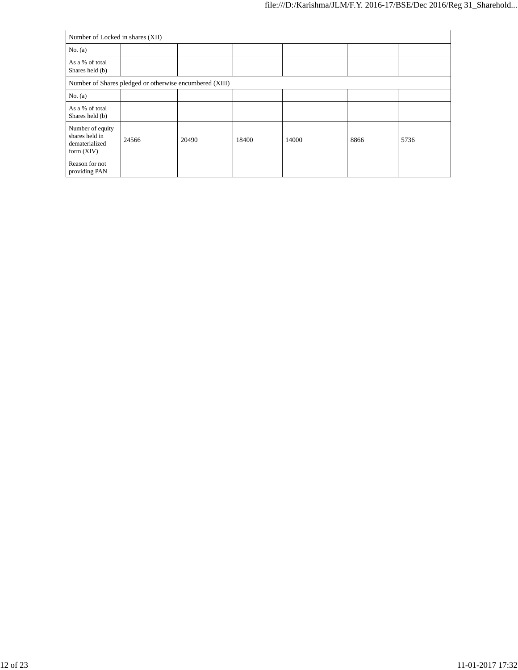| Number of Locked in shares (XII)                                     |       |       |       |       |      |      |  |  |  |  |
|----------------------------------------------------------------------|-------|-------|-------|-------|------|------|--|--|--|--|
| No. $(a)$                                                            |       |       |       |       |      |      |  |  |  |  |
| As a % of total<br>Shares held (b)                                   |       |       |       |       |      |      |  |  |  |  |
| Number of Shares pledged or otherwise encumbered (XIII)              |       |       |       |       |      |      |  |  |  |  |
| No. $(a)$                                                            |       |       |       |       |      |      |  |  |  |  |
| As a % of total<br>Shares held (b)                                   |       |       |       |       |      |      |  |  |  |  |
| Number of equity<br>shares held in<br>dematerialized<br>form $(XIV)$ | 24566 | 20490 | 18400 | 14000 | 8866 | 5736 |  |  |  |  |
| Reason for not<br>providing PAN                                      |       |       |       |       |      |      |  |  |  |  |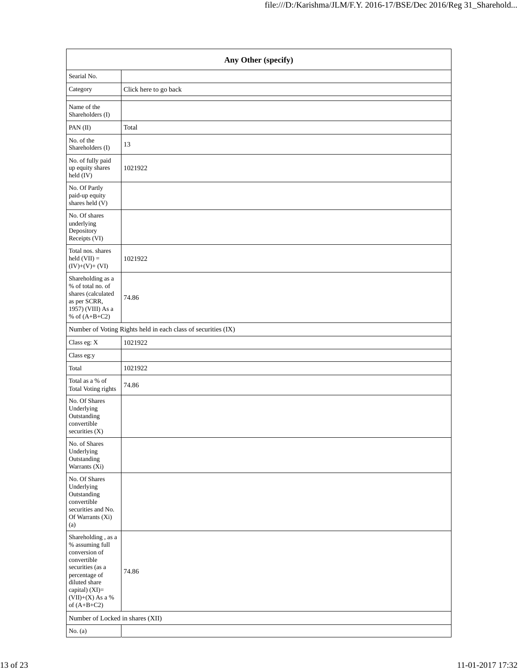| Any Other (specify)                                                                                                                                                                   |                                                               |  |  |  |
|---------------------------------------------------------------------------------------------------------------------------------------------------------------------------------------|---------------------------------------------------------------|--|--|--|
| Searial No.                                                                                                                                                                           |                                                               |  |  |  |
| Category                                                                                                                                                                              | Click here to go back                                         |  |  |  |
| Name of the<br>Shareholders (I)                                                                                                                                                       |                                                               |  |  |  |
| PAN(II)                                                                                                                                                                               | Total                                                         |  |  |  |
| No. of the<br>Shareholders (I)                                                                                                                                                        | 13                                                            |  |  |  |
| No. of fully paid<br>up equity shares<br>held (IV)                                                                                                                                    | 1021922                                                       |  |  |  |
| No. Of Partly<br>paid-up equity<br>shares held (V)                                                                                                                                    |                                                               |  |  |  |
| No. Of shares<br>underlying<br>Depository<br>Receipts (VI)                                                                                                                            |                                                               |  |  |  |
| Total nos. shares<br>held $(VII)$ =<br>$(IV)+(V)+(VI)$                                                                                                                                | 1021922                                                       |  |  |  |
| Shareholding as a<br>% of total no. of<br>shares (calculated<br>as per SCRR,<br>1957) (VIII) As a<br>% of $(A+B+C2)$                                                                  | 74.86                                                         |  |  |  |
|                                                                                                                                                                                       | Number of Voting Rights held in each class of securities (IX) |  |  |  |
| Class eg: X                                                                                                                                                                           | 1021922                                                       |  |  |  |
| Class eg:y                                                                                                                                                                            |                                                               |  |  |  |
| Total                                                                                                                                                                                 | 1021922                                                       |  |  |  |
| Total as a % of<br>Total Voting rights                                                                                                                                                | 74.86                                                         |  |  |  |
| No. Of Shares<br>Underlying<br>Outstanding<br>convertible<br>securities (X)                                                                                                           |                                                               |  |  |  |
| No. of Shares<br>Underlying<br>Outstanding<br>Warrants (Xi)                                                                                                                           |                                                               |  |  |  |
| No. Of Shares<br>Underlying<br>Outstanding<br>convertible<br>securities and No.<br>Of Warrants (Xi)<br>(a)                                                                            |                                                               |  |  |  |
| Shareholding, as a<br>% assuming full<br>conversion of<br>convertible<br>securities (as a<br>percentage of<br>diluted share<br>capital) (XI)=<br>(VII)+(X) As a $\%$<br>of $(A+B+C2)$ | 74.86                                                         |  |  |  |
| Number of Locked in shares (XII)                                                                                                                                                      |                                                               |  |  |  |
| No. $(a)$                                                                                                                                                                             |                                                               |  |  |  |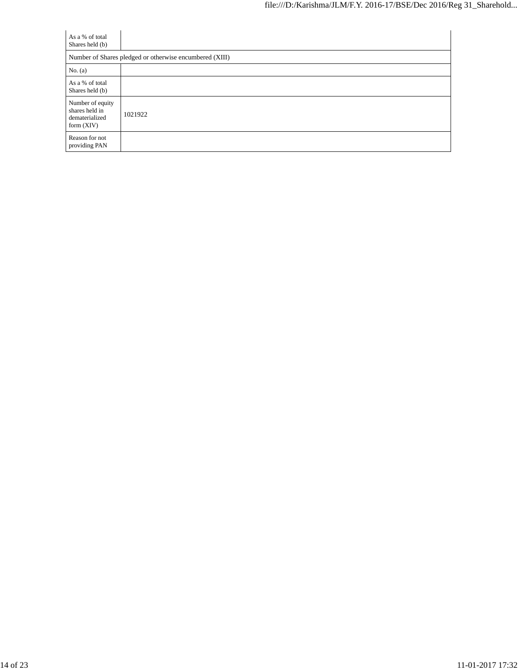| As a % of total<br>Shares held (b)                                   |                                                         |
|----------------------------------------------------------------------|---------------------------------------------------------|
|                                                                      | Number of Shares pledged or otherwise encumbered (XIII) |
| No. $(a)$                                                            |                                                         |
| As a % of total<br>Shares held (b)                                   |                                                         |
| Number of equity<br>shares held in<br>dematerialized<br>form $(XIV)$ | 1021922                                                 |
| Reason for not<br>providing PAN                                      |                                                         |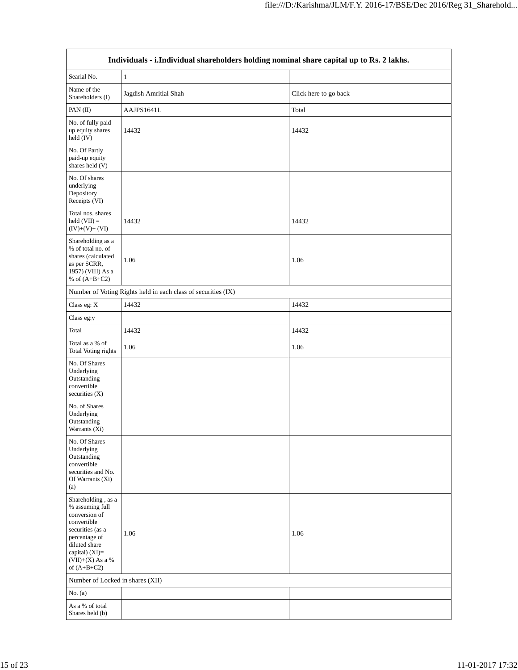| Individuals - i.Individual shareholders holding nominal share capital up to Rs. 2 lakhs.                                                                                               |                                                               |                       |  |  |
|----------------------------------------------------------------------------------------------------------------------------------------------------------------------------------------|---------------------------------------------------------------|-----------------------|--|--|
| Searial No.                                                                                                                                                                            | $\mathbf{1}$                                                  |                       |  |  |
| Name of the<br>Shareholders (I)                                                                                                                                                        | Jagdish Amritlal Shah                                         | Click here to go back |  |  |
| PAN(II)                                                                                                                                                                                | AAJPS1641L                                                    | Total                 |  |  |
| No. of fully paid<br>up equity shares<br>held (IV)                                                                                                                                     | 14432                                                         | 14432                 |  |  |
| No. Of Partly<br>paid-up equity<br>shares held (V)                                                                                                                                     |                                                               |                       |  |  |
| No. Of shares<br>underlying<br>Depository<br>Receipts (VI)                                                                                                                             |                                                               |                       |  |  |
| Total nos. shares<br>$held (VII) =$<br>$(IV)+(V)+(VI)$                                                                                                                                 | 14432                                                         | 14432                 |  |  |
| Shareholding as a<br>% of total no. of<br>shares (calculated<br>as per SCRR,<br>1957) (VIII) As a<br>% of $(A+B+C2)$                                                                   | 1.06                                                          | 1.06                  |  |  |
|                                                                                                                                                                                        | Number of Voting Rights held in each class of securities (IX) |                       |  |  |
| Class eg: X                                                                                                                                                                            | 14432                                                         | 14432                 |  |  |
| Class eg:y                                                                                                                                                                             |                                                               |                       |  |  |
| Total                                                                                                                                                                                  | 14432                                                         | 14432                 |  |  |
| Total as a % of<br><b>Total Voting rights</b>                                                                                                                                          | 1.06                                                          | 1.06                  |  |  |
| No. Of Shares<br>Underlying<br>Outstanding<br>convertible<br>securities (X)                                                                                                            |                                                               |                       |  |  |
| No. of Shares<br>Underlying<br>Outstanding<br>Warrants (Xi)                                                                                                                            |                                                               |                       |  |  |
| No. Of Shares<br>Underlying<br>Outstanding<br>convertible<br>securities and No.<br>Of Warrants (Xi)<br>(a)                                                                             |                                                               |                       |  |  |
| Shareholding, as a<br>% assuming full<br>conversion of<br>convertible<br>securities (as a<br>percentage of<br>diluted share<br>capital) $(XI)=$<br>$(VII)+(X)$ As a %<br>of $(A+B+C2)$ | 1.06                                                          | 1.06                  |  |  |
| Number of Locked in shares (XII)                                                                                                                                                       |                                                               |                       |  |  |
| No. $(a)$                                                                                                                                                                              |                                                               |                       |  |  |
| As a % of total<br>Shares held (b)                                                                                                                                                     |                                                               |                       |  |  |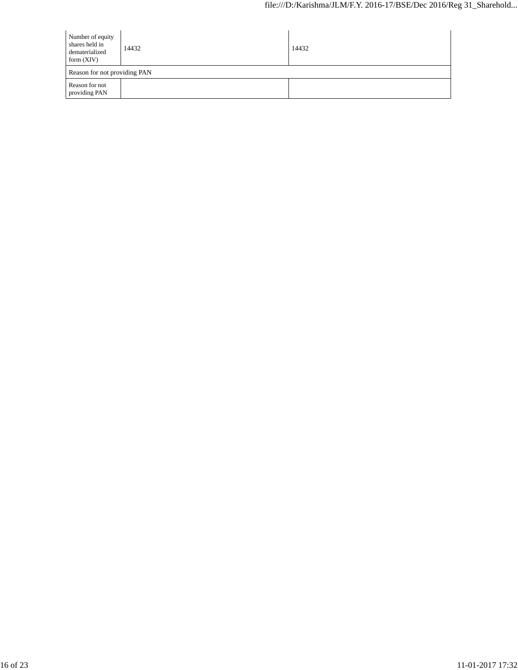| Number of equity<br>shares held in<br>dematerialized<br>form $(XIV)$ | 14432 | 14432 |
|----------------------------------------------------------------------|-------|-------|
| Reason for not providing PAN                                         |       |       |
| Reason for not<br>providing PAN                                      |       |       |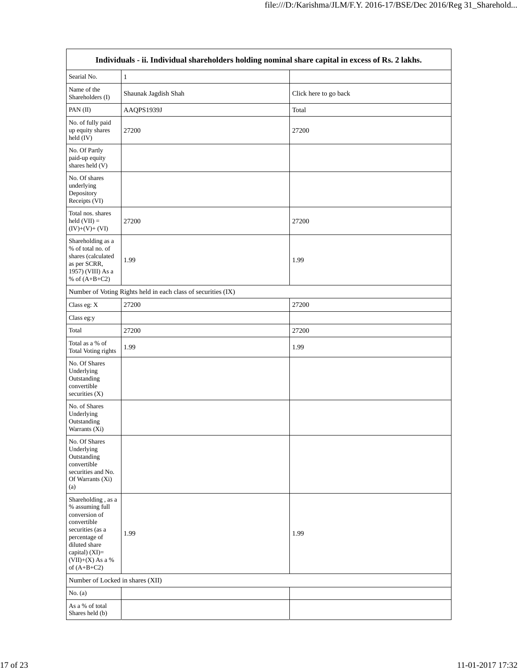| Individuals - ii. Individual shareholders holding nominal share capital in excess of Rs. 2 lakhs.                                                                                    |                                                               |                       |  |  |
|--------------------------------------------------------------------------------------------------------------------------------------------------------------------------------------|---------------------------------------------------------------|-----------------------|--|--|
| Searial No.                                                                                                                                                                          | $\mathbf{1}$                                                  |                       |  |  |
| Name of the<br>Shareholders (I)                                                                                                                                                      | Shaunak Jagdish Shah                                          | Click here to go back |  |  |
| PAN $(II)$                                                                                                                                                                           | AAQPS1939J                                                    | Total                 |  |  |
| No. of fully paid<br>up equity shares<br>held (IV)                                                                                                                                   | 27200                                                         | 27200                 |  |  |
| No. Of Partly<br>paid-up equity<br>shares held (V)                                                                                                                                   |                                                               |                       |  |  |
| No. Of shares<br>underlying<br>Depository<br>Receipts (VI)                                                                                                                           |                                                               |                       |  |  |
| Total nos. shares<br>held $(VII) =$<br>$(IV)+(V)+(VI)$                                                                                                                               | 27200                                                         | 27200                 |  |  |
| Shareholding as a<br>% of total no. of<br>shares (calculated<br>as per SCRR,<br>1957) (VIII) As a<br>% of $(A+B+C2)$                                                                 | 1.99                                                          | 1.99                  |  |  |
|                                                                                                                                                                                      | Number of Voting Rights held in each class of securities (IX) |                       |  |  |
| Class eg: X                                                                                                                                                                          | 27200                                                         | 27200                 |  |  |
| Class eg:y                                                                                                                                                                           |                                                               |                       |  |  |
| Total                                                                                                                                                                                | 27200                                                         | 27200                 |  |  |
| Total as a % of<br><b>Total Voting rights</b>                                                                                                                                        | 1.99                                                          | 1.99                  |  |  |
| No. Of Shares<br>Underlying<br>Outstanding<br>convertible<br>securities $(X)$                                                                                                        |                                                               |                       |  |  |
| No. of Shares<br>Underlying<br>Outstanding<br>Warrants (Xi)                                                                                                                          |                                                               |                       |  |  |
| No. Of Shares<br>Underlying<br>Outstanding<br>convertible<br>securities and No.<br>Of Warrants (Xi)<br>(a)                                                                           |                                                               |                       |  |  |
| Shareholding, as a<br>% assuming full<br>conversion of<br>convertible<br>securities (as a<br>percentage of<br>diluted share<br>capital) (XI)=<br>$(VII)+(X)$ As a %<br>of $(A+B+C2)$ | 1.99                                                          | 1.99                  |  |  |
| Number of Locked in shares (XII)                                                                                                                                                     |                                                               |                       |  |  |
| No. $(a)$                                                                                                                                                                            |                                                               |                       |  |  |
| As a % of total<br>Shares held (b)                                                                                                                                                   |                                                               |                       |  |  |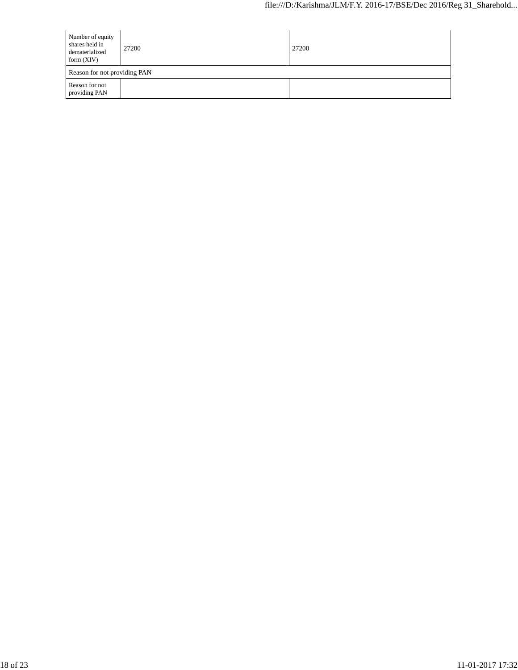| Number of equity<br>shares held in<br>dematerialized<br>form $(XIV)$ | 27200 | 27200 |
|----------------------------------------------------------------------|-------|-------|
| Reason for not providing PAN                                         |       |       |
| Reason for not<br>providing PAN                                      |       |       |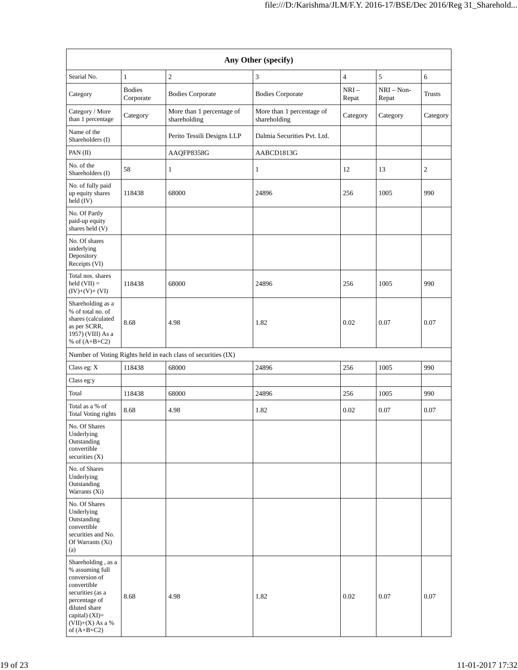|                                                                                                                                                                                      |                            |                                                               | Any Other (specify)                       |                 |                       |               |
|--------------------------------------------------------------------------------------------------------------------------------------------------------------------------------------|----------------------------|---------------------------------------------------------------|-------------------------------------------|-----------------|-----------------------|---------------|
| Searial No.                                                                                                                                                                          | $\mathbf{1}$               | $\mathfrak{2}$                                                | 3                                         | 4               | 5                     | 6             |
| Category                                                                                                                                                                             | <b>Bodies</b><br>Corporate | <b>Bodies Corporate</b>                                       | <b>Bodies Corporate</b>                   | $NRI-$<br>Repat | $NRI - Non-$<br>Repat | <b>Trusts</b> |
| Category / More<br>than 1 percentage                                                                                                                                                 | Category                   | More than 1 percentage of<br>shareholding                     | More than 1 percentage of<br>shareholding | Category        | Category              | Category      |
| Name of the<br>Shareholders (I)                                                                                                                                                      |                            | Perito Tessili Designs LLP                                    | Dalmia Securities Pvt. Ltd.               |                 |                       |               |
| PAN(II)                                                                                                                                                                              |                            | AAQFP8358G                                                    | AABCD1813G                                |                 |                       |               |
| No. of the<br>Shareholders (I)                                                                                                                                                       | 58                         | 1                                                             | 1                                         | 12              | 13                    | $\sqrt{2}$    |
| No. of fully paid<br>up equity shares<br>held (IV)                                                                                                                                   | 118438                     | 68000                                                         | 24896                                     | 256             | 1005                  | 990           |
| No. Of Partly<br>paid-up equity<br>shares held (V)                                                                                                                                   |                            |                                                               |                                           |                 |                       |               |
| No. Of shares<br>underlying<br>Depository<br>Receipts (VI)                                                                                                                           |                            |                                                               |                                           |                 |                       |               |
| Total nos. shares<br>held $(VII) =$<br>$(IV)+(V)+(VI)$                                                                                                                               | 118438                     | 68000                                                         | 24896                                     | 256             | 1005                  | 990           |
| Shareholding as a<br>% of total no. of<br>shares (calculated<br>as per SCRR,<br>1957) (VIII) As a<br>% of $(A+B+C2)$                                                                 | 8.68                       | 4.98                                                          | 1.82                                      | 0.02            | 0.07                  | 0.07          |
|                                                                                                                                                                                      |                            | Number of Voting Rights held in each class of securities (IX) |                                           |                 |                       |               |
| Class eg: X                                                                                                                                                                          | 118438                     | 68000                                                         | 24896                                     | 256             | 1005                  | 990           |
| Class eg:y                                                                                                                                                                           |                            |                                                               |                                           |                 |                       |               |
| Total                                                                                                                                                                                | 118438                     | 68000                                                         | 24896                                     | 256             | 1005                  | 990           |
| Total as a % of<br><b>Total Voting rights</b>                                                                                                                                        | 8.68                       | 4.98                                                          | 1.82                                      | $0.02\,$        | 0.07                  | 0.07          |
| No. Of Shares<br>Underlying<br>Outstanding<br>convertible<br>securities $(X)$                                                                                                        |                            |                                                               |                                           |                 |                       |               |
| No. of Shares<br>Underlying<br>Outstanding<br>Warrants (Xi)                                                                                                                          |                            |                                                               |                                           |                 |                       |               |
| No. Of Shares<br>Underlying<br>Outstanding<br>convertible<br>securities and No.<br>Of Warrants (Xi)<br>(a)                                                                           |                            |                                                               |                                           |                 |                       |               |
| Shareholding, as a<br>% assuming full<br>conversion of<br>convertible<br>securities (as a<br>percentage of<br>diluted share<br>capital) (XI)=<br>$(VII)+(X)$ As a %<br>of $(A+B+C2)$ | 8.68                       | 4.98                                                          | 1.82                                      | 0.02            | 0.07                  | 0.07          |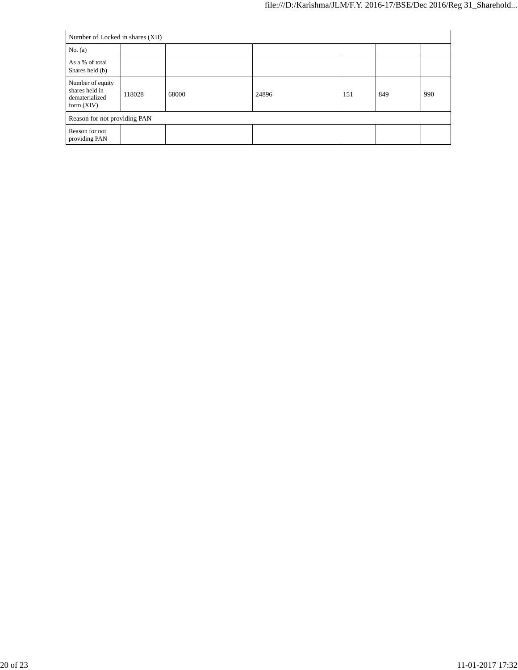| Number of Locked in shares (XII)                                     |        |       |       |     |     |     |
|----------------------------------------------------------------------|--------|-------|-------|-----|-----|-----|
| No. $(a)$                                                            |        |       |       |     |     |     |
| As a % of total<br>Shares held (b)                                   |        |       |       |     |     |     |
| Number of equity<br>shares held in<br>dematerialized<br>form $(XIV)$ | 118028 | 68000 | 24896 | 151 | 849 | 990 |
| Reason for not providing PAN                                         |        |       |       |     |     |     |
| Reason for not<br>providing PAN                                      |        |       |       |     |     |     |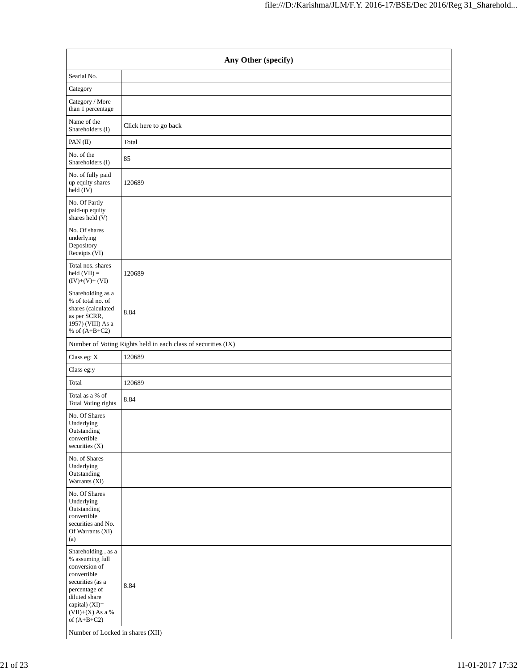| Any Other (specify)                                                                                                                                                                                                      |                                                               |  |  |  |
|--------------------------------------------------------------------------------------------------------------------------------------------------------------------------------------------------------------------------|---------------------------------------------------------------|--|--|--|
| Searial No.                                                                                                                                                                                                              |                                                               |  |  |  |
| Category                                                                                                                                                                                                                 |                                                               |  |  |  |
| Category / More<br>than 1 percentage                                                                                                                                                                                     |                                                               |  |  |  |
| Name of the<br>Shareholders (I)                                                                                                                                                                                          | Click here to go back                                         |  |  |  |
| PAN(II)                                                                                                                                                                                                                  | Total                                                         |  |  |  |
| No. of the<br>Shareholders (I)                                                                                                                                                                                           | 85                                                            |  |  |  |
| No. of fully paid<br>up equity shares<br>held (IV)                                                                                                                                                                       | 120689                                                        |  |  |  |
| No. Of Partly<br>paid-up equity<br>shares held (V)                                                                                                                                                                       |                                                               |  |  |  |
| No. Of shares<br>underlying<br>Depository<br>Receipts (VI)                                                                                                                                                               |                                                               |  |  |  |
| Total nos. shares<br>$held (VII) =$<br>$(IV)+(V)+(VI)$                                                                                                                                                                   | 120689                                                        |  |  |  |
| Shareholding as a<br>% of total no. of<br>shares (calculated<br>as per SCRR,<br>1957) (VIII) As a<br>% of $(A+B+C2)$                                                                                                     | 8.84                                                          |  |  |  |
|                                                                                                                                                                                                                          | Number of Voting Rights held in each class of securities (IX) |  |  |  |
| Class eg: X                                                                                                                                                                                                              | 120689                                                        |  |  |  |
| Class eg:y                                                                                                                                                                                                               |                                                               |  |  |  |
| Total                                                                                                                                                                                                                    | 120689                                                        |  |  |  |
| Total as a % of<br><b>Total Voting rights</b>                                                                                                                                                                            | 8.84                                                          |  |  |  |
| No. Of Shares<br>Underlying<br>Outstanding<br>convertible<br>securities $(X)$                                                                                                                                            |                                                               |  |  |  |
| No. of Shares<br>Underlying<br>Outstanding<br>Warrants (Xi)                                                                                                                                                              |                                                               |  |  |  |
| No. Of Shares<br>Underlying<br>Outstanding<br>convertible<br>securities and No.<br>Of Warrants (Xi)<br>(a)                                                                                                               |                                                               |  |  |  |
| Shareholding, as a<br>% assuming full<br>conversion of<br>convertible<br>securities (as a<br>percentage of<br>diluted share<br>capital) (XI)=<br>$(VII)+(X)$ As a %<br>of $(A+B+C2)$<br>Number of Locked in shares (XII) | 8.84                                                          |  |  |  |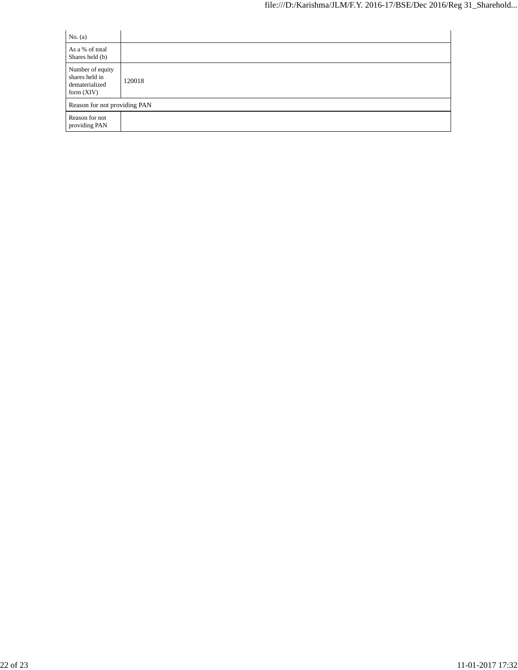| No. $(a)$                                                            |        |
|----------------------------------------------------------------------|--------|
| As a % of total<br>Shares held (b)                                   |        |
| Number of equity<br>shares held in<br>dematerialized<br>form $(XIV)$ | 120018 |
| Reason for not providing PAN                                         |        |
| Reason for not<br>providing PAN                                      |        |